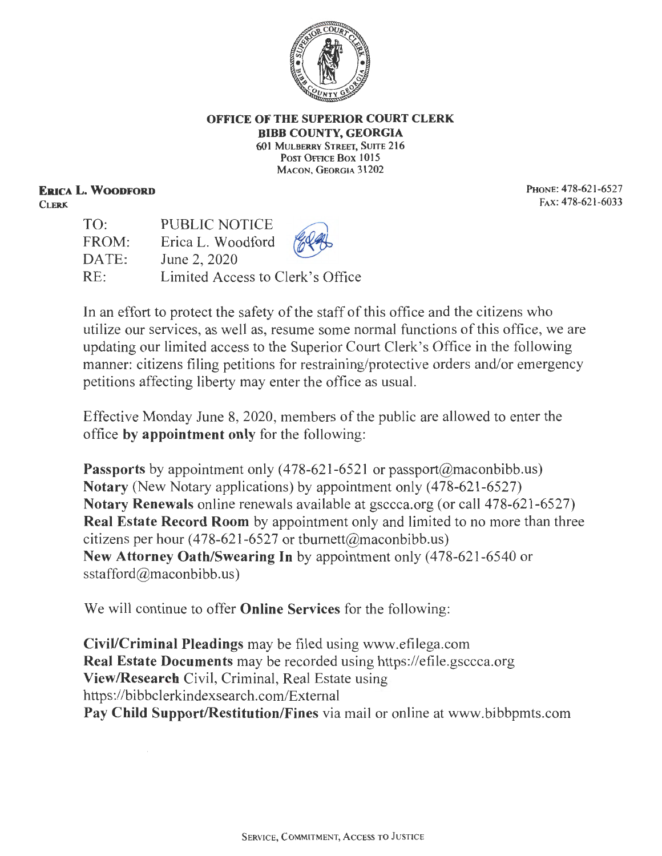

## **OFFICE OF THE SUPERIOR COURT CLERK BIBB COUNTY, GEORGIA 601 MULBERRY STREET, SUITE 216**

POST OFFICE BOX 1015 MACON, GEORGIA 31202

**ERICA L. WOODFORD CLERK** 

**PHONE: 478-621-6527 FAX:478-621-6033** 

TO: FROM: DATE: RE: PUBLIC NOTICE Erica L. Woodford June 2, 2020 Limited Access to Clerk's Office

In an effort to protect the safety of the staff of this office and the citizens who utilize our services, as well as, resume some normal functions of this office, we are updating our limited access to the Superior Court Clerk's Office in the following manner: citizens filing petitions for restraining/protective orders and/or emergency petitions affecting liberty may enter the office as usual.

Effective Monday June 8, 2020, members of the public are allowed to enter the office **by appointment only** for the following:

**Passports** by appointment only (478-621-6521 or passport@maconbibb.us) **Notary** (New Notary applications) by appointment only (478-621-6527) **Notary Renewals** online renewals available at gsccca.org (or call 478-621-6527) **Real Estate Record Room** by appointment only and limited to no more than three citizens per hour (478-621-6527 or tburnett@maconbibb.us) **New Attorney Oath/Swearing In** by appointment only (478-621-6540 or sstafford@maconbibb.us)

We will continue to offer **Online Services** for the following:

**Civil/Criminal Pleadings** may be filed using www.efilega.com **Real Estate Documents** may be recorded using https://efile.gsccca.org **View/Research** Civil, Criminal, Real Estate using https ://bibbclerkindexsearch.com/Extemal **Pay Child Support/Restitution/Fines** via mail or online at www.bibbpmts.com